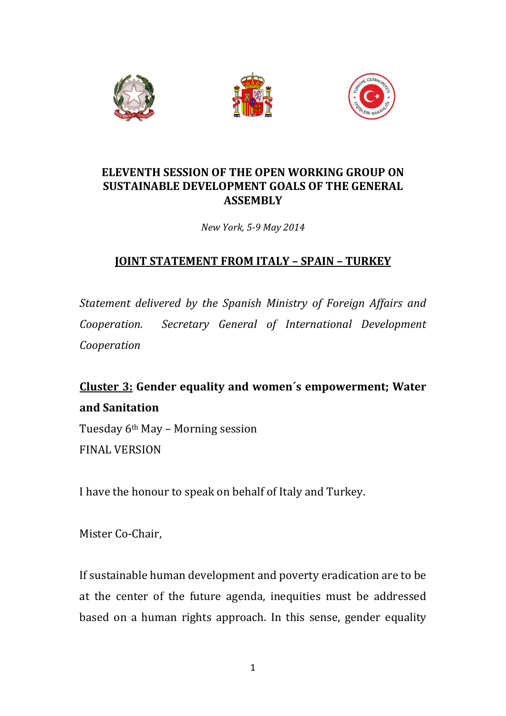





## **ELEVENTH SESSION OF THE OPEN WORKING GROUP ON SUSTAINABLE DEVELOPMENT GOALS OF THE GENERAL ASSEMBLY**

*New York, 5-9 May 2014*

## **JOINT STATEMENT FROM ITALY – SPAIN – TURKEY**

*Statement delivered by the Spanish Ministry of Foreign Affairs and Cooperation. Secretary General of International Development Cooperation*

## **Cluster 3: Gender equality and women´s empowerment; Water and Sanitation**

Tuesday 6th May – Morning session FINAL VERSION

I have the honour to speak on behalf of Italy and Turkey.

Mister Co-Chair,

If sustainable human development and poverty eradication are to be at the center of the future agenda, inequities must be addressed based on a human rights approach. In this sense, gender equality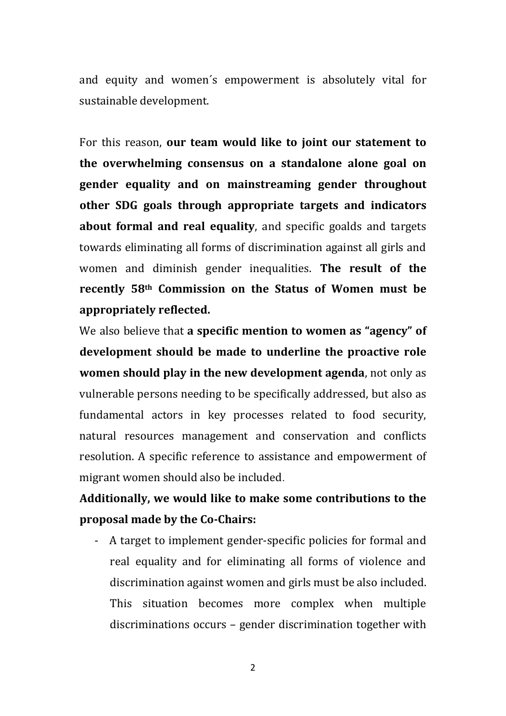and equity and women´s empowerment is absolutely vital for sustainable development.

For this reason, **our team would like to joint our statement to the overwhelming consensus on a standalone alone goal on gender equality and on mainstreaming gender throughout other SDG goals through appropriate targets and indicators about formal and real equality**, and specific goalds and targets towards eliminating all forms of discrimination against all girls and women and diminish gender inequalities. **The result of the recently 58th Commission on the Status of Women must be appropriately reflected.**

We also believe that **a specific mention to women as "agency" of development should be made to underline the proactive role women should play in the new development agenda**, not only as vulnerable persons needing to be specifically addressed, but also as fundamental actors in key processes related to food security, natural resources management and conservation and conflicts resolution. A specific reference to assistance and empowerment of migrant women should also be included.

## **Additionally, we would like to make some contributions to the proposal made by the Co-Chairs:**

- A target to implement gender-specific policies for formal and real equality and for eliminating all forms of violence and discrimination against women and girls must be also included. This situation becomes more complex when multiple discriminations occurs – gender discrimination together with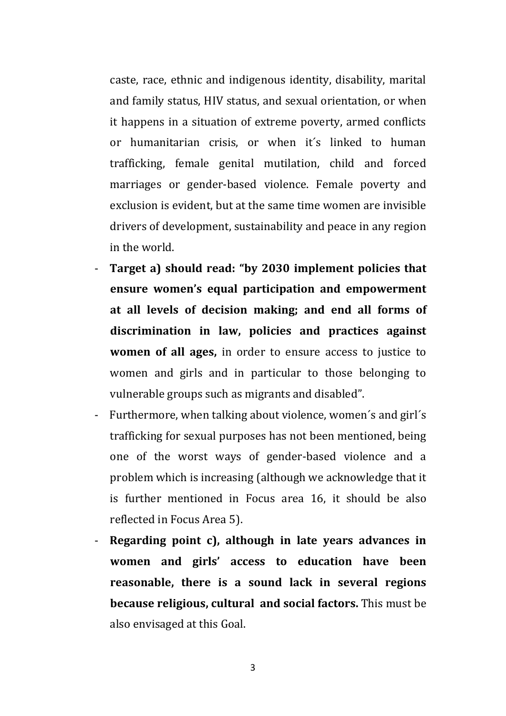caste, race, ethnic and indigenous identity, disability, marital and family status, HIV status, and sexual orientation, or when it happens in a situation of extreme poverty, armed conflicts or humanitarian crisis, or when it´s linked to human trafficking, female genital mutilation, child and forced marriages or gender-based violence. Female poverty and exclusion is evident, but at the same time women are invisible drivers of development, sustainability and peace in any region in the world.

- **Target a) should read: "by 2030 implement policies that ensure women's equal participation and empowerment at all levels of decision making; and end all forms of discrimination in law, policies and practices against women of all ages,** in order to ensure access to justice to women and girls and in particular to those belonging to vulnerable groups such as migrants and disabled".
- Furthermore, when talking about violence, women´s and girl´s trafficking for sexual purposes has not been mentioned, being one of the worst ways of gender-based violence and a problem which is increasing (although we acknowledge that it is further mentioned in Focus area 16, it should be also reflected in Focus Area 5).
- **Regarding point c), although in late years advances in women and girls' access to education have been reasonable, there is a sound lack in several regions because religious, cultural and social factors.** This must be also envisaged at this Goal.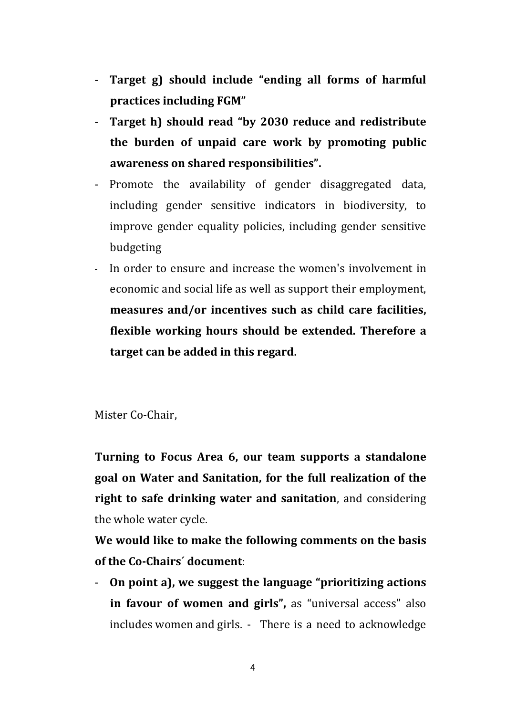- **Target g) should include "ending all forms of harmful practices including FGM"**
- **Target h) should read "by 2030 reduce and redistribute the burden of unpaid care work by promoting public awareness on shared responsibilities".**
- Promote the availability of gender disaggregated data, including gender sensitive indicators in biodiversity, to improve gender equality policies, including gender sensitive budgeting
- In order to ensure and increase the women's involvement in economic and social life as well as support their employment, **measures and/or incentives such as child care facilities, flexible working hours should be extended. Therefore a target can be added in this regard.**

Mister Co-Chair,

**Turning to Focus Area 6, our team supports a standalone goal on Water and Sanitation, for the full realization of the right to safe drinking water and sanitation**, and considering the whole water cycle.

**We would like to make the following comments on the basis of the Co-Chairs´ document**:

- **On point a), we suggest the language "prioritizing actions in favour of women and girls",** as "universal access" also includes women and girls. - There is a need to acknowledge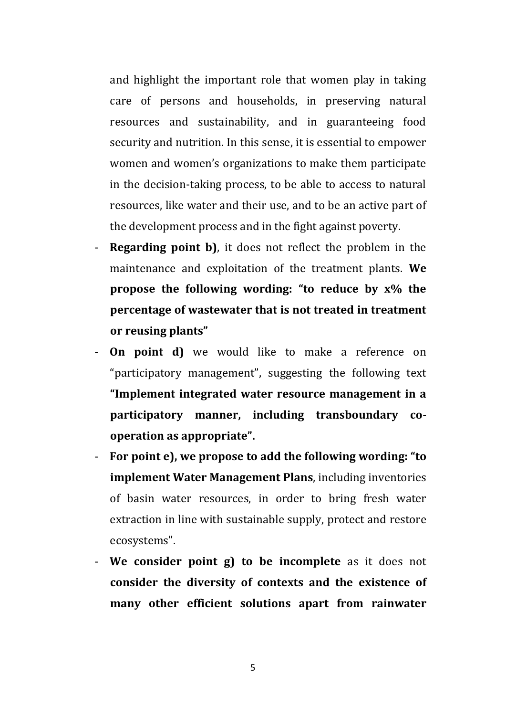and highlight the important role that women play in taking care of persons and households, in preserving natural resources and sustainability, and in guaranteeing food security and nutrition. In this sense, it is essential to empower women and women's organizations to make them participate in the decision-taking process, to be able to access to natural resources, like water and their use, and to be an active part of the development process and in the fight against poverty.

- **Regarding point b)**, it does not reflect the problem in the maintenance and exploitation of the treatment plants. **We propose the following wording: "to reduce by x% the percentage of wastewater that is not treated in treatment or reusing plants"**
- **On point d)** we would like to make a reference on "participatory management", suggesting the following text **"Implement integrated water resource management in a participatory manner, including transboundary cooperation as appropriate".**
- **For point e), we propose to add the following wording: "to implement Water Management Plans**, including inventories of basin water resources, in order to bring fresh water extraction in line with sustainable supply, protect and restore ecosystems".
- **We consider point g) to be incomplete** as it does not **consider the diversity of contexts and the existence of many other efficient solutions apart from rainwater**

5